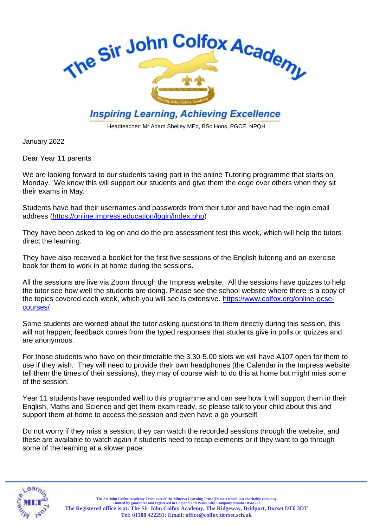

Headteacher: Mr Adam Shelley MEd, BSc Hons, PGCE, NPQH

January 2022

Dear Year 11 parents

We are looking forward to our students taking part in the online Tutoring programme that starts on Monday. We know this will support our students and give them the edge over others when they sit their exams in May.

Students have had their usernames and passwords from their tutor and have had the login email address [\(https://online.impress.education/login/index.php\)](https://online.impress.education/login/index.php)

They have been asked to log on and do the pre assessment test this week, which will help the tutors direct the learning.

They have also received a booklet for the first five sessions of the English tutoring and an exercise book for them to work in at home during the sessions.

All the sessions are live via Zoom through the Impress website. All the sessions have quizzes to help the tutor see how well the students are doing. Please see the school website where there is a copy of the topics covered each week, which you will see is extensive. [https://www.colfox.org/online-gcse](https://www.colfox.org/online-gcse-courses/)[courses/](https://www.colfox.org/online-gcse-courses/)

Some students are worried about the tutor asking questions to them directly during this session, this will not happen; feedback comes from the typed responses that students give in polls or quizzes and are anonymous.

For those students who have on their timetable the 3.30-5.00 slots we will have A107 open for them to use if they wish. They will need to provide their own headphones (the Calendar in the Impress website tell them the times of their sessions), they may of course wish to do this at home but might miss some of the session.

Year 11 students have responded well to this programme and can see how it will support them in their English, Maths and Science and get them exam ready, so please talk to your child about this and support them at home to access the session and even have a go yourself!

Do not worry if they miss a session, they can watch the recorded sessions through the website, and these are available to watch again if students need to recap elements or if they want to go through some of the learning at a slower pace.



The Sir John Colfox Academy Trust part of the Minerva Learning Trust (Dorset) which is a charitable company<br>Limited by guarantee and registered in England and Wales with Company Number 8561222. **The Registered office is at: The Sir John Colfox Academy, The Ridgeway, Bridport, Dorset DT6 3DT Tel: 01308 422291: Email[: office@colfox.dorset.sch.uk](mailto:office@colfox.dorset.sch.uk)**